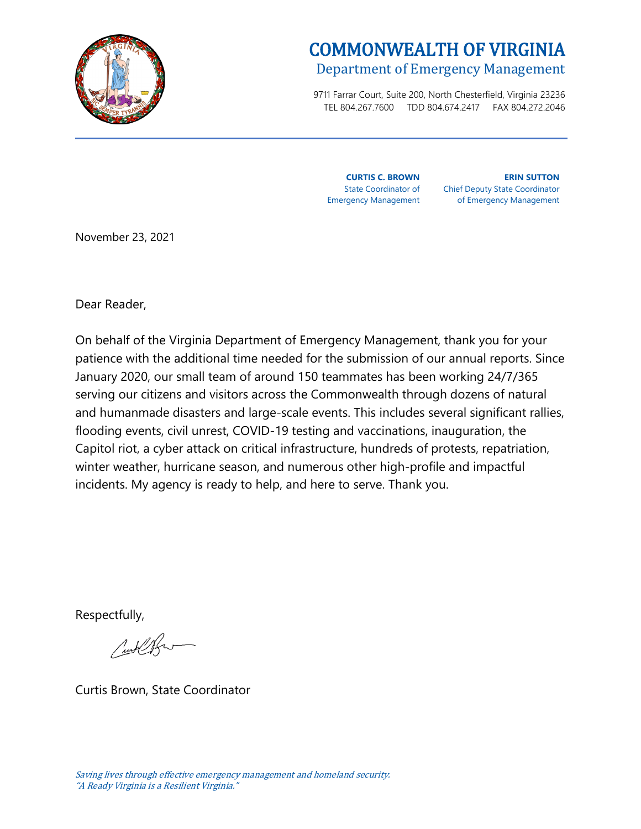

# COMMONWEALTH OF VIRGINIA Department of Emergency Management

9711 Farrar Court, Suite 200, North Chesterfield, Virginia 23236 TEL 804.267.7600 TDD 804.674.2417 FAX 804.272.2046

**CURTIS C. BROWN** Emergency Management **ERIN SUTTON**

State Coordinator of Chief Deputy State Coordinator of Emergency Management

November 23, 2021

Dear Reader,

On behalf of the Virginia Department of Emergency Management, thank you for your patience with the additional time needed for the submission of our annual reports. Since January 2020, our small team of around 150 teammates has been working 24/7/365 serving our citizens and visitors across the Commonwealth through dozens of natural and humanmade disasters and large-scale events. This includes several significant rallies, flooding events, civil unrest, COVID-19 testing and vaccinations, inauguration, the Capitol riot, a cyber attack on critical infrastructure, hundreds of protests, repatriation, winter weather, hurricane season, and numerous other high-profile and impactful incidents. My agency is ready to help, and here to serve. Thank you.

Respectfully,

Culled

Curtis Brown, State Coordinator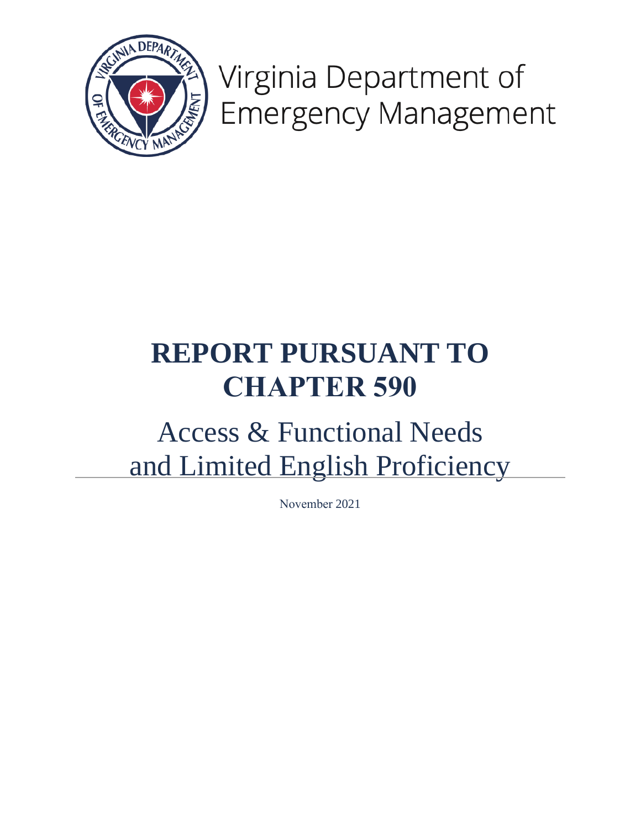

Virginia Department of **Emergency Management** 

# **REPORT PURSUANT TO CHAPTER 590**

# Access & Functional Needs and Limited English Proficiency

November 2021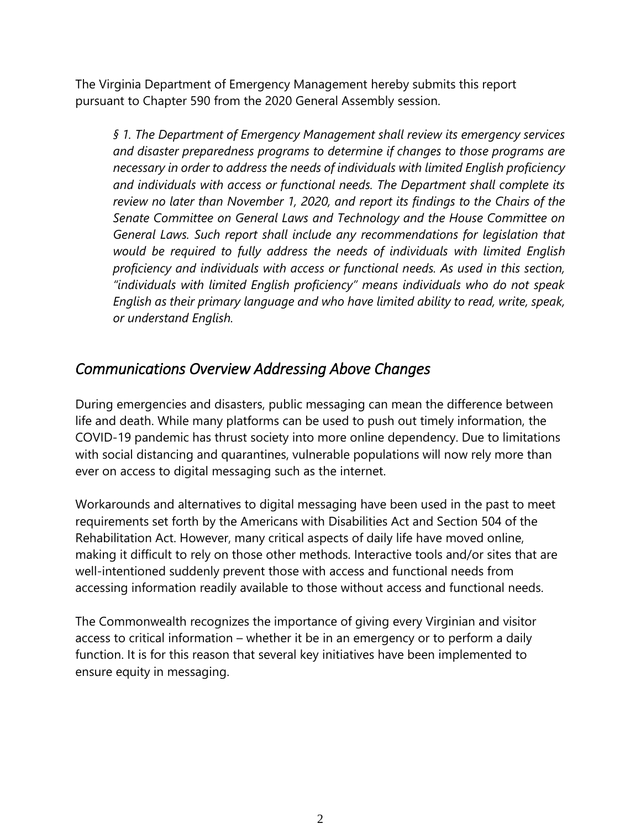The Virginia Department of Emergency Management hereby submits this report pursuant to Chapter 590 from the 2020 General Assembly session.

*§ 1. The Department of Emergency Management shall review its emergency services and disaster preparedness programs to determine if changes to those programs are necessary in order to address the needs of individuals with limited English proficiency and individuals with access or functional needs. The Department shall complete its review no later than November 1, 2020, and report its findings to the Chairs of the Senate Committee on General Laws and Technology and the House Committee on General Laws. Such report shall include any recommendations for legislation that would be required to fully address the needs of individuals with limited English proficiency and individuals with access or functional needs. As used in this section, "individuals with limited English proficiency" means individuals who do not speak English as their primary language and who have limited ability to read, write, speak, or understand English.*

### *Communications Overview Addressing Above Changes*

During emergencies and disasters, public messaging can mean the difference between life and death. While many platforms can be used to push out timely information, the COVID-19 pandemic has thrust society into more online dependency. Due to limitations with social distancing and quarantines, vulnerable populations will now rely more than ever on access to digital messaging such as the internet.

Workarounds and alternatives to digital messaging have been used in the past to meet requirements set forth by the Americans with Disabilities Act and Section 504 of the Rehabilitation Act. However, many critical aspects of daily life have moved online, making it difficult to rely on those other methods. Interactive tools and/or sites that are well-intentioned suddenly prevent those with access and functional needs from accessing information readily available to those without access and functional needs.

The Commonwealth recognizes the importance of giving every Virginian and visitor access to critical information – whether it be in an emergency or to perform a daily function. It is for this reason that several key initiatives have been implemented to ensure equity in messaging.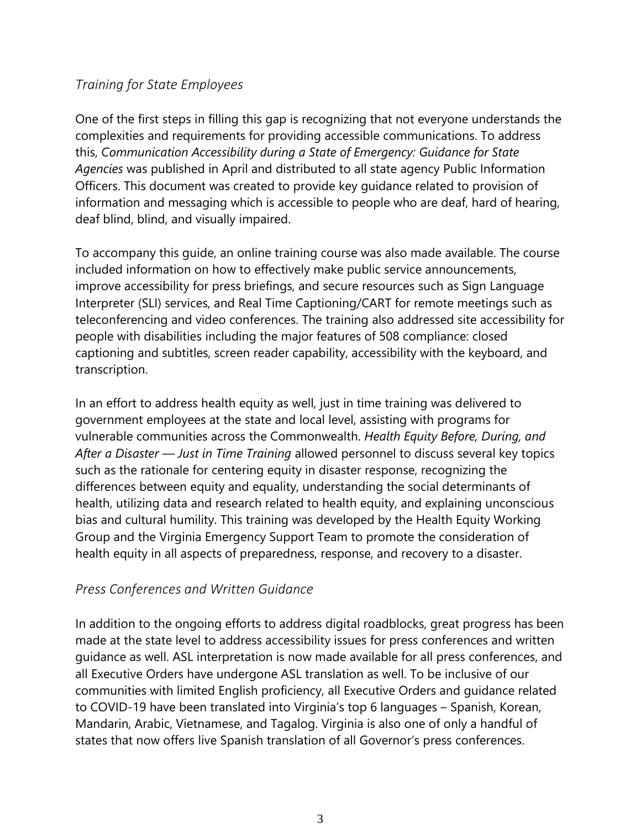#### *Training for State Employees*

One of the first steps in filling this gap is recognizing that not everyone understands the complexities and requirements for providing accessible communications. To address this, *Communication Accessibility during a State of Emergency: Guidance for State Agencies* was published in April and distributed to all state agency Public Information Officers. This document was created to provide key guidance related to provision of information and messaging which is accessible to people who are deaf, hard of hearing, deaf blind, blind, and visually impaired.

To accompany this guide, an online training course was also made available. The course included information on how to effectively make public service announcements, improve accessibility for press briefings, and secure resources such as Sign Language Interpreter (SLI) services, and Real Time Captioning/CART for remote meetings such as teleconferencing and video conferences. The training also addressed site accessibility for people with disabilities including the major features of 508 compliance: closed captioning and subtitles, screen reader capability, accessibility with the keyboard, and transcription.

In an effort to address health equity as well, just in time training was delivered to government employees at the state and local level, assisting with programs for vulnerable communities across the Commonwealth. *Health Equity Before, During, and After a Disaster — Just in Time Training* allowed personnel to discuss several key topics such as the rationale for centering equity in disaster response, recognizing the differences between equity and equality, understanding the social determinants of health, utilizing data and research related to health equity, and explaining unconscious bias and cultural humility. This training was developed by the Health Equity Working Group and the Virginia Emergency Support Team to promote the consideration of health equity in all aspects of preparedness, response, and recovery to a disaster.

#### *Press Conferences and Written Guidance*

In addition to the ongoing efforts to address digital roadblocks, great progress has been made at the state level to address accessibility issues for press conferences and written guidance as well. ASL interpretation is now made available for all press conferences, and all Executive Orders have undergone ASL translation as well. To be inclusive of our communities with limited English proficiency, all Executive Orders and guidance related to COVID-19 have been translated into Virginia's top 6 languages – Spanish, Korean, Mandarin, Arabic, Vietnamese, and Tagalog. Virginia is also one of only a handful of states that now offers live Spanish translation of all Governor's press conferences.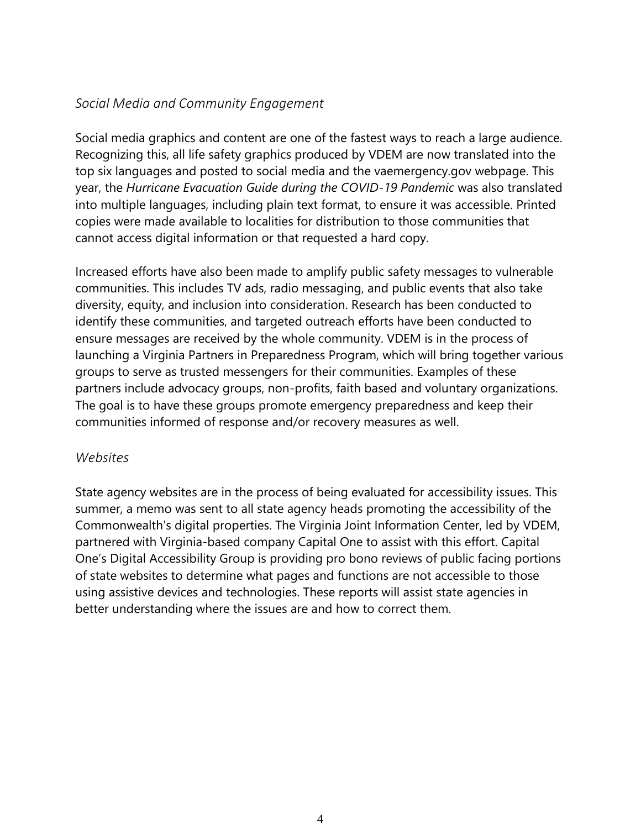#### *Social Media and Community Engagement*

Social media graphics and content are one of the fastest ways to reach a large audience. Recognizing this, all life safety graphics produced by VDEM are now translated into the top six languages and posted to social media and the vaemergency.gov webpage. This year, the *Hurricane Evacuation Guide during the COVID-19 Pandemic* was also translated into multiple languages, including plain text format, to ensure it was accessible. Printed copies were made available to localities for distribution to those communities that cannot access digital information or that requested a hard copy.

Increased efforts have also been made to amplify public safety messages to vulnerable communities. This includes TV ads, radio messaging, and public events that also take diversity, equity, and inclusion into consideration. Research has been conducted to identify these communities, and targeted outreach efforts have been conducted to ensure messages are received by the whole community. VDEM is in the process of launching a Virginia Partners in Preparedness Program, which will bring together various groups to serve as trusted messengers for their communities. Examples of these partners include advocacy groups, non-profits, faith based and voluntary organizations. The goal is to have these groups promote emergency preparedness and keep their communities informed of response and/or recovery measures as well.

#### *Websites*

State agency websites are in the process of being evaluated for accessibility issues. This summer, a memo was sent to all state agency heads promoting the accessibility of the Commonwealth's digital properties. The Virginia Joint Information Center, led by VDEM, partnered with Virginia-based company Capital One to assist with this effort. Capital One's Digital Accessibility Group is providing pro bono reviews of public facing portions of state websites to determine what pages and functions are not accessible to those using assistive devices and technologies. These reports will assist state agencies in better understanding where the issues are and how to correct them.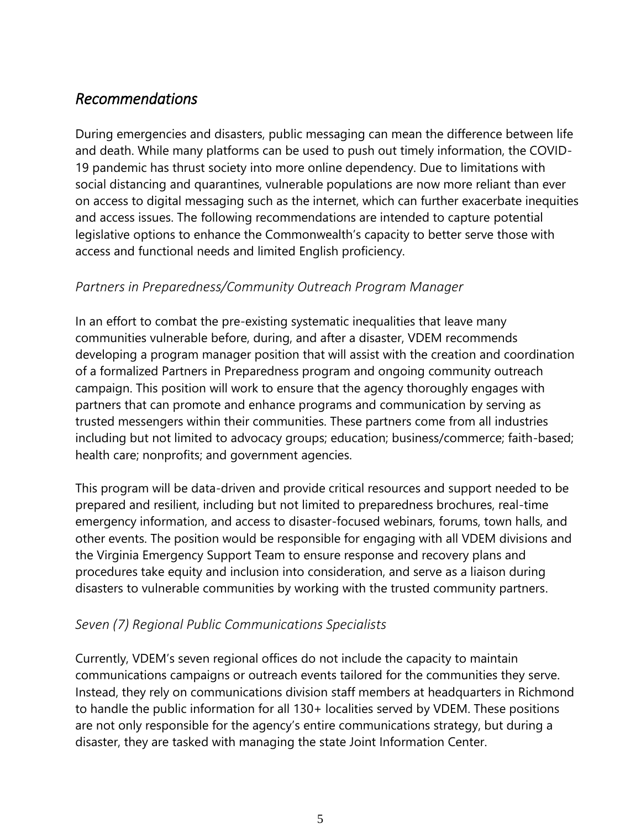## *Recommendations*

During emergencies and disasters, public messaging can mean the difference between life and death. While many platforms can be used to push out timely information, the COVID-19 pandemic has thrust society into more online dependency. Due to limitations with social distancing and quarantines, vulnerable populations are now more reliant than ever on access to digital messaging such as the internet, which can further exacerbate inequities and access issues. The following recommendations are intended to capture potential legislative options to enhance the Commonwealth's capacity to better serve those with access and functional needs and limited English proficiency.

#### *Partners in Preparedness/Community Outreach Program Manager*

In an effort to combat the pre-existing systematic inequalities that leave many communities vulnerable before, during, and after a disaster, VDEM recommends developing a program manager position that will assist with the creation and coordination of a formalized Partners in Preparedness program and ongoing community outreach campaign. This position will work to ensure that the agency thoroughly engages with partners that can promote and enhance programs and communication by serving as trusted messengers within their communities. These partners come from all industries including but not limited to advocacy groups; education; business/commerce; faith-based; health care; nonprofits; and government agencies.

This program will be data-driven and provide critical resources and support needed to be prepared and resilient, including but not limited to preparedness brochures, real-time emergency information, and access to disaster-focused webinars, forums, town halls, and other events. The position would be responsible for engaging with all VDEM divisions and the Virginia Emergency Support Team to ensure response and recovery plans and procedures take equity and inclusion into consideration, and serve as a liaison during disasters to vulnerable communities by working with the trusted community partners.

#### *Seven (7) Regional Public Communications Specialists*

Currently, VDEM's seven regional offices do not include the capacity to maintain communications campaigns or outreach events tailored for the communities they serve. Instead, they rely on communications division staff members at headquarters in Richmond to handle the public information for all 130+ localities served by VDEM. These positions are not only responsible for the agency's entire communications strategy, but during a disaster, they are tasked with managing the state Joint Information Center.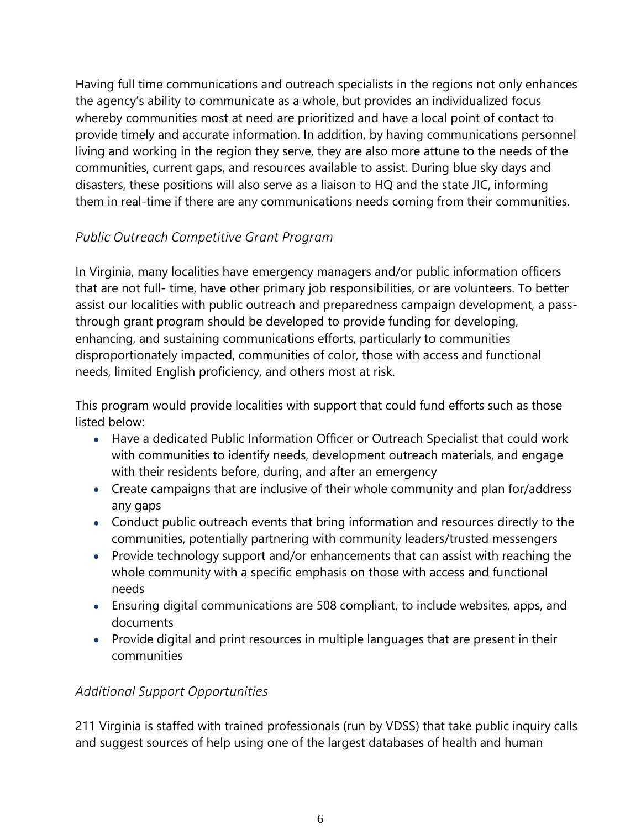Having full time communications and outreach specialists in the regions not only enhances the agency's ability to communicate as a whole, but provides an individualized focus whereby communities most at need are prioritized and have a local point of contact to provide timely and accurate information. In addition, by having communications personnel living and working in the region they serve, they are also more attune to the needs of the communities, current gaps, and resources available to assist. During blue sky days and disasters, these positions will also serve as a liaison to HQ and the state JIC, informing them in real-time if there are any communications needs coming from their communities.

### *Public Outreach Competitive Grant Program*

In Virginia, many localities have emergency managers and/or public information officers that are not full- time, have other primary job responsibilities, or are volunteers. To better assist our localities with public outreach and preparedness campaign development, a passthrough grant program should be developed to provide funding for developing, enhancing, and sustaining communications efforts, particularly to communities disproportionately impacted, communities of color, those with access and functional needs, limited English proficiency, and others most at risk.

This program would provide localities with support that could fund efforts such as those listed below:

- Have a dedicated Public Information Officer or Outreach Specialist that could work with communities to identify needs, development outreach materials, and engage with their residents before, during, and after an emergency
- Create campaigns that are inclusive of their whole community and plan for/address any gaps
- Conduct public outreach events that bring information and resources directly to the communities, potentially partnering with community leaders/trusted messengers
- Provide technology support and/or enhancements that can assist with reaching the whole community with a specific emphasis on those with access and functional needs
- Ensuring digital communications are 508 compliant, to include websites, apps, and documents
- Provide digital and print resources in multiple languages that are present in their communities

#### *Additional Support Opportunities*

211 Virginia is staffed with trained professionals (run by VDSS) that take public inquiry calls and suggest sources of help using one of the largest databases of health and human